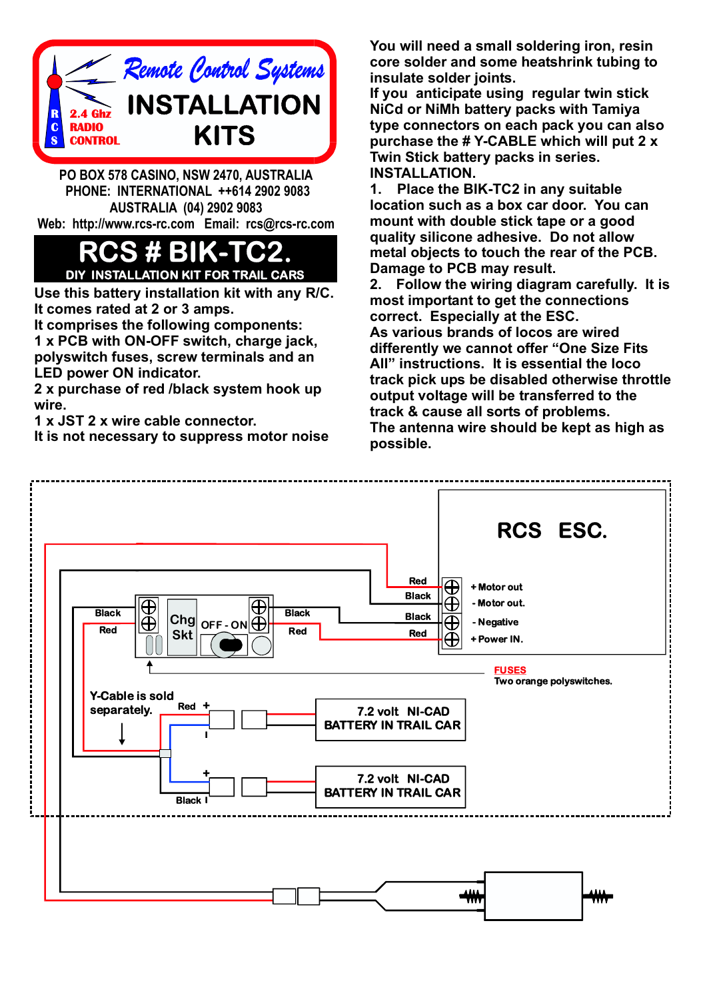

**PO BOX 578 CASINO, NSW 2470, AUSTRALIA PHONE: INTERNATIONAL ++614 2902 9083 AUSTRALIA (04) 2902 9083 Web: http://www.rcs-rc.com Email: rcs@rcs-rc.com**

## **RCS # BIK-TC2. DIY INSTALLATION KIT FOR TRAIL CARS**

**Use this battery installation kit with any R/C. It comes rated at 2 or 3 amps.**

**It comprises the following components:**

**1 x PCB with ON-OFF switch, charge jack, polyswitch fuses, screw terminals and an LED power ON indicator.**

**2 x purchase of red /black system hook up wire.**

**1 x JST 2 x wire cable connector.**

**It is not necessary to suppress motor noise**

**You will need a small soldering iron, resin core solder and some heatshrink tubing to insulate solder joints.**

**If you anticipate using regular twin stick NiCd or NiMh battery packs with Tamiya type connectors on each pack you can also purchase the # Y-CABLE which will put 2 x Twin Stick battery packs in series. INSTALLATION.**

**1. Place the BIK-TC2 in any suitable location such as a box car door. You can mount with double stick tape or a good quality silicone adhesive. Do not allow metal objects to touch the rear of the PCB. Damage to PCB may result.**

**2. Follow the wiring diagram carefully. It is most important to get the connections correct. Especially at the ESC. As various brands of locos are wired differently we cannot offer "One Size Fits All" instructions. It is essential the loco track pick ups be disabled otherwise throttle output voltage will be transferred to the track & cause all sorts of problems. The antenna wire should be kept as high as possible.**